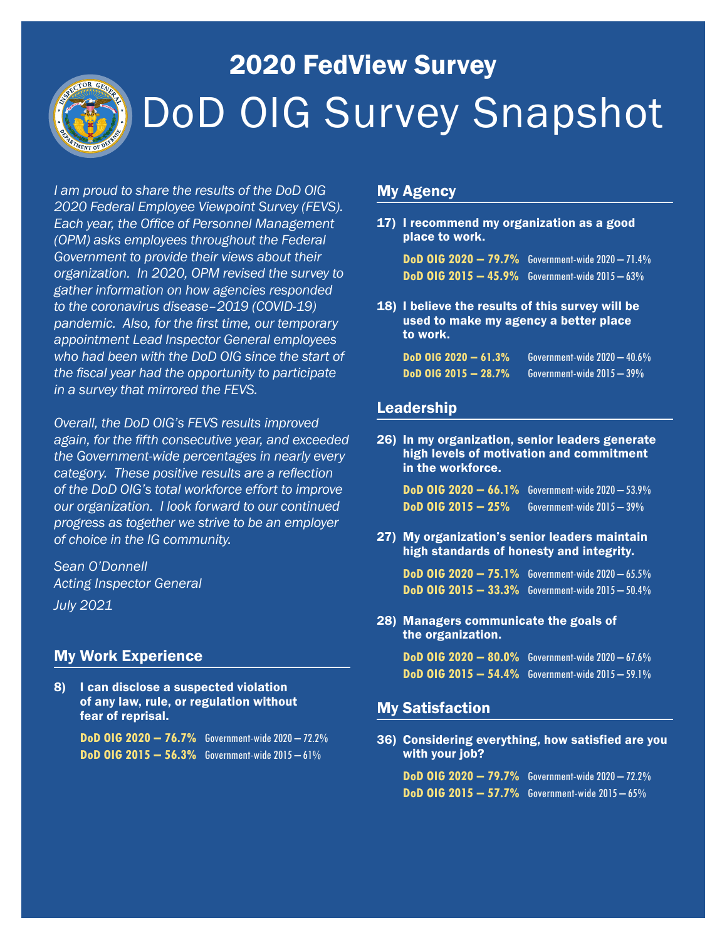

# 2020 FedView Survey DoD OIG Survey Snapshot

*I am proud to share the results of the DoD OIG 2020 Federal Employee Viewpoint Survey (FEVS). Each year, the Office of Personnel Management (OPM) asks employees throughout the Federal Government to provide their views about their organization. In 2020, OPM revised the survey to gather information on how agencies responded to the coronavirus disease–2019 (COVID-19) pandemic. Also, for the first time, our temporary appointment Lead Inspector General employees who had been with the DoD OIG since the start of the fiscal year had the opportunity to participate in a survey that mirrored the FEVS.*

*Overall, the DoD OIG's FEVS results improved again, for the fifth consecutive year, and exceeded the Government-wide percentages in nearly every category. These positive results are a reflection of the DoD OIG's total workforce effort to improve our organization. I look forward to our continued progress as together we strive to be an employer of choice in the IG community.*

*Sean O'Donnell Acting Inspector General July 2021*

#### My Work Experience

8) I can disclose a suspected violation of any law, rule, or regulation without fear of reprisal.

> **DoD OIG 2020 – 76.7%** Government-wide 2020 – 72.2% **DoD OIG 2015 – 56.3%** Government-wide 2015 – 61%

#### My Agency

17) I recommend my organization as a good place to work.

**DoD OIG 2020 – 79.7%** Government-wide 2020 – 71.4% **DoD OIG 2015 – 45.9%** Government-wide 2015 – 63%

18) I believe the results of this survey will be used to make my agency a better place to work.

| $DoD$ OIG 2020 - 61.3%            | Government-wide 2020 — 40.6% |
|-----------------------------------|------------------------------|
| D <sub>o</sub> D OIG 2015 - 28.7% | Government-wide $2015-39\%$  |

#### Leadership

26) In my organization, senior leaders generate high levels of motivation and commitment in the workforce.

**DoD OIG 2020 – 66.1%** Government-wide 2020 – 53.9% **DoD OIG 2015 – 25%** Government-wide 2015 – 39%

27) My organization's senior leaders maintain high standards of honesty and integrity.

**DoD OIG 2020 – 75.1%** Government-wide 2020 – 65.5% **DoD OIG 2015 – 33.3%** Government-wide 2015 – 50.4%

28) Managers communicate the goals of the organization.

> **DoD OIG 2020 – 80.0%** Government-wide 2020 – 67.6% **DoD OIG 2015 – 54.4%** Government-wide 2015 – 59.1%

#### My Satisfaction

36) Considering everything, how satisfied are you with your job?

**DoD OIG 2020 – 79.7%** Government-wide 2020 – 72.2% **DoD OIG 2015 – 57.7%** Government-wide 2015 – 65%